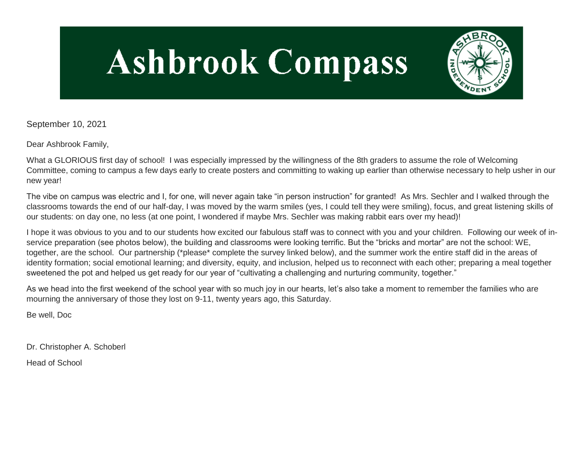# **Ashbrook Compass**



September 10, 2021

Dear Ashbrook Family,

What a GLORIOUS first day of school! I was especially impressed by the willingness of the 8th graders to assume the role of Welcoming Committee, coming to campus a few days early to create posters and committing to waking up earlier than otherwise necessary to help usher in our new year!

The vibe on campus was electric and I, for one, will never again take "in person instruction" for granted! As Mrs. Sechler and I walked through the classrooms towards the end of our half-day, I was moved by the warm smiles (yes, I could tell they were smiling), focus, and great listening skills of our students: on day one, no less (at one point, I wondered if maybe Mrs. Sechler was making rabbit ears over my head)!

I hope it was obvious to you and to our students how excited our fabulous staff was to connect with you and your children. Following our week of inservice preparation (see photos below), the building and classrooms were looking terrific. But the "bricks and mortar" are not the school: WE, together, are the school. Our partnership (\*please\* complete the survey linked below), and the summer work the entire staff did in the areas of identity formation; social emotional learning; and diversity, equity, and inclusion, helped us to reconnect with each other; preparing a meal together sweetened the pot and helped us get ready for our year of "cultivating a challenging and nurturing community, together."

As we head into the first weekend of the school year with so much joy in our hearts, let's also take a moment to remember the families who are mourning the anniversary of those they lost on 9-11, twenty years ago, this Saturday.

Be well, Doc

Dr. Christopher A. Schoberl

Head of School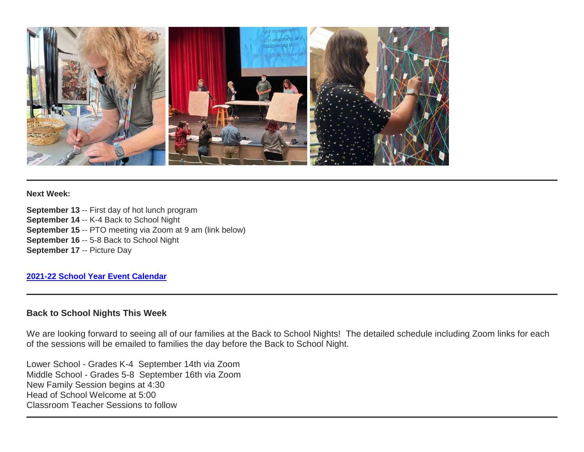

#### **Next Week:**

**September 13** -- First day of hot lunch program **September 14** -- K-4 Back to School Night **September 15** -- PTO meeting via Zoom at 9 am (link below) **September 16** -- 5-8 Back to School Night **September 17** -- Picture Day

#### **[2021-22 School Year Event Calendar](http://link.mystudentsprogress.com/ls/click?upn=t3AI3kjK1Pyk9qPfHnOahelBVVSIlRAa3GeSLMbkINmgHr3guxrPuqfp-2Bh-2FJW4nCZ4g8Gi3XkGXC-2FKATZbsSvlLtGaxynoxi8rg7wuoRjJ9ogb5HbX999Eip-2FZE6wLdBt-2FZXHJBS6zquMLtzN9wyAf-2BwWQPV3rI3lDDknuQ1JHMBzJ8gUYT-2F7YzNEwZY9IsL01sHprQ-2FIDOi-2FxvxQxcWetx3uPiVsOO-2BTqPctwW7ytf9RkxC1x3UjTIEBtRaqxRocHrr-2BmciBR4-2BJ-2F9FRK9RIbCVijz3zpNIIcd4PIsUMddSSVNBf6Erlmv-2BHBcLMpY-2BXATDQ1ruaOReFDZmWYSBv8U-2FG-2FKOr0yEkAwqSdMzdcQ3gq4Z79RZNOTZP4nGap5-2B4nzc4nIf29OyD3NhvJHQaLkc85sE-2FfYbPaGyyk6H2FOzJRYThJmT37US6LpTrGNlh9HxVTLYe1LpjcNTBXNJsSKlp-2BAa-2BVuGTdE8v33fTt9-2BgR-2BE9tSlDPzhNHxWPZ2RZ535aLRz3SoCCiPZR3EABfh4FMKDRC4z2q-2Bvjvbtim7SOD4kDD2r5XYSDBe4a3bcI5fNds6iRAQWmj3uDnwn3-2B3tKuGNT1JKaRpJXKTgGLzWZLAnNUo4fvdQC77H83vaK-2BM8PCeLuljt-2FRAsnx0cP-2FGdRouESOyMOB5ORkT-2BH-2Bkw4hRRiiTCpe61BsZqpA-2Bu1ZrI_1PndbFfBoQGSZbxwXHHEexw3B2F0fG-2BUmuXm6a-2BX-2BzveLaUeAp2YGW4WCi1XQLzhSmUc1k1iGo5IH1hZYHqVM8yFAEe3xjJd2lWtdjFnlEFGplCZdpSf0-2BwZ8KWm6PvMqR2izJhhyE-2BSnte-2Bs-2BIhbqMcmFe5Ked0-2B61uU1jTlz6vDjr84iTNiqvZAFeSOH9Xus1qG9oqmGhCVz4YjbFiRKcoW4vIX1bAlFltLgwYVyxhasXwokbyv-2BrPzUWfv3ER5mIL6rDGhlcNsp8GXEhWnm5o5c-2Buhr9D7ZFpyHUJuR80Fvt-2Fq7nLibbiHNfIVkXxszpPWIZ3aN0Scfl810eb-2BYMjUvxmBZAePvDfjWoWe342cls8cWVNkM0vh7TGLnUGKN8gbAxbQSISHbnITce9FB2skHoFP4VhGas-2FPHX5qWhUyy0qJrEkXvIVFXevzFnA)**

#### **Back to School Nights This Week**

We are looking forward to seeing all of our families at the Back to School Nights! The detailed schedule including Zoom links for each of the sessions will be emailed to families the day before the Back to School Night.

Lower School - Grades K-4 September 14th via Zoom Middle School - Grades 5-8 September 16th via Zoom New Family Session begins at 4:30 Head of School Welcome at 5:00 Classroom Teacher Sessions to follow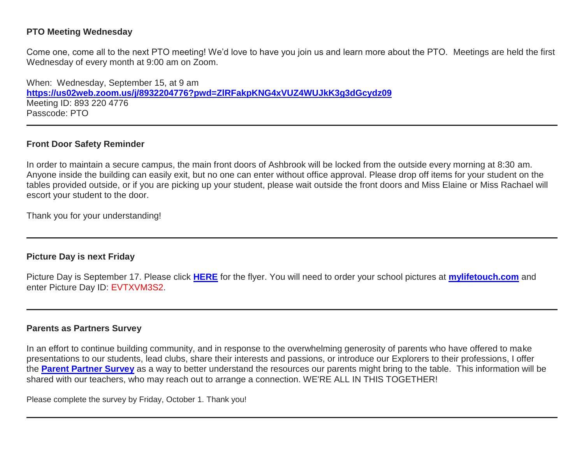## **PTO Meeting Wednesday**

Come one, come all to the next PTO meeting! We'd love to have you join us and learn more about the PTO. Meetings are held the first Wednesday of every month at 9:00 am on Zoom.

When: Wednesday, September 15, at 9 am **[https://us02web.zoom.us/j/8932204776?pwd=ZlRFakpKNG4xVUZ4WUJkK3g3dGcydz09](http://link.mystudentsprogress.com/ls/click?upn=t3AI3kjK1Pyk9qPfHnOahdUXsXwKktIG8PjKMmDa563TLyGmQbyIazENxFVEkz4dwmYp5Z9USNXC1aCCDVQgl9BWDUwGriNPQNLlF9Zx7xKHvLX2AmhkD7P2CF4Gm-2BPTwgDU_1PndbFfBoQGSZbxwXHHEexw3B2F0fG-2BUmuXm6a-2BX-2BzveLaUeAp2YGW4WCi1XQLzhSmUc1k1iGo5IH1hZYHqVM284wPZHl0DIao-2BuTk5O9xqGLQPWsdKgDM8ULFh7TKHvB03T9eEiA-2BU4jDSZQwW0Vyg5jr1KuEw60lnnZIwkxd6MSe8NuofH69T2NC9bWSBNTQcbThU9e7t5kLDUcxVooVH8vLrOjkCuqV2HEQF0ZmsKjiXWsGcpq70vjUHaOuArL1RqdB6JzIeDiQp8rvQNCRAyqyHI-2FkHhx4Wf2CJ3WUDs1dpMlCIJsUmJGlTdSBRn-2FyetAwRE2IKtcQioWPvkJVuXeixdeZznP5g0IJJGvi5v-2Fw2H9gJSS2lG-2BgQ-2FGy9rtUrjvB4TKWnj762Fgdn8Ea227nMoh20qLe5UwyNOAKg9Xr3O-2FtQmmqplbub5Y6QW)** Meeting ID: 893 220 4776 Passcode: PTO

#### **Front Door Safety Reminder**

In order to maintain a secure campus, the main front doors of Ashbrook will be locked from the outside every morning at 8:30 am. Anyone inside the building can easily exit, but no one can enter without office approval. Please drop off items for your student on the tables provided outside, or if you are picking up your student, please wait outside the front doors and Miss Elaine or Miss Rachael will escort your student to the door.

Thank you for your understanding!

#### **Picture Day is next Friday**

Picture Day is September 17. Please click **[HERE](http://link.mystudentsprogress.com/ls/click?upn=n7jYKe39nC4PrVAw2BzaOolgU5XUleaJ61qfvNJxTW3uoi8RFzNYUfSc1qXdqajA34djZWrxIBJBxzp2whbybvqIYp3dDOkCDgKesziBdCk2lLqWj12lMUHza8tqfGSnrdl3fotOE-2Bh8yHwawttjnRarjFwxPwh2rfdUoMrRJJs-3DtHKi_1PndbFfBoQGSZbxwXHHEexw3B2F0fG-2BUmuXm6a-2BX-2BzveLaUeAp2YGW4WCi1XQLzhSmUc1k1iGo5IH1hZYHqVM6F7qEDkNfse4JNCX-2BViUO81pPhJJ1f4-2BQh6cbDOhlddqo5A48v08bNHpGnijX1y4ml7Zo5R0M1pgSWWSHCMf4tFXPfvdX5EnlKjhvVy-2BquyliF089xYOmKPfx-2FNihytO2clLk2R-2BSoCTJ1SICBXDsvwiDdjUaokcNEyD0iOfVs8B-2FTdo5K-2BLmnLzR1lZbRIBekTnJkmDia19cDhajty6OUY9SdW-2BjZEcBq4e0NJb6SuU42BJqWBnMx-2FLRs9P0c91Xw95iEhqt30M2CdTFnwkOJVnAC1R5-2BK-2FICtYQFigXTX3mr5DNW0PJI4sQ23SRup3VsU3LoS0rmTWFHhsCbhsAlgZJHIBFhhOne6k0uekfY8)** for the flyer. You will need to order your school pictures at **[mylifetouch.com](http://link.mystudentsprogress.com/ls/click?upn=n7jYKe39nC4PrVAw2BzaOopwWGEZHNrY4UMTYT4fb-2BTETDP-2Bujlm7gkUXRv8tb849TgL_1PndbFfBoQGSZbxwXHHEexw3B2F0fG-2BUmuXm6a-2BX-2BzveLaUeAp2YGW4WCi1XQLzhSmUc1k1iGo5IH1hZYHqVM2mXK-2BTA51H2Y2RcN2PqdRmrAdWaH5oRWgDOdI6zDRlP0FUaPzit0Zy9JcffgjA06-2FMsPCKTpA1RXH7ENPxd9Npu-2BhqCEML7zhFTimCZVx-2BOYCzMCivSyHCL0fqH6KojHo7AjeRiCYIOOTnwokG1h-2BHbk3Zmj5SGxT9NSlo5nLyc-2Ba6df7NJzp-2FI-2B-2F2j-2B11O-2BewfsfwlV19XtuiysdQ01yUsLeWhdkfIrw4vPOioTU4veue48PHWRFf7UYnThItJiw2y6ni6gewTa-2F2Y1y0EQjDcu92xeR-2BYNJQ-2FIp9AcmHPu-2F-2Fvt5VGECdcw2bW9kvbyLWKSDelOEMYDVJ4pXIz-2FUcaucUOukv5s4dWgEKFF-2Fcd)** and enter Picture Day ID: EVTXVM3S2.

#### **Parents as Partners Survey**

In an effort to continue building community, and in response to the overwhelming generosity of parents who have offered to make presentations to our students, lead clubs, share their interests and passions, or introduce our Explorers to their professions, I offer the **[Parent Partner Survey](http://link.mystudentsprogress.com/ls/click?upn=VpBe6Z9t6RkEC4qAoQCeri-2FFFh7llDqKppeMq4GAyjRWQxckQw26M-2Bv6Io9sYjjzu11I-2FIHnrxqd6TMWI6gnx-2BiEK7Npr-2BpJ3so6M0GUxrRTpwZZYMhJ-2FmMHGccGwQxRDvsZHECICQBoGuYXr6ayZQ-3D-3DkRjB_1PndbFfBoQGSZbxwXHHEexw3B2F0fG-2BUmuXm6a-2BX-2BzveLaUeAp2YGW4WCi1XQLzhSmUc1k1iGo5IH1hZYHqVMz-2BzL-2FEbnJPIqtY8sP3eQWIRgVnby-2FasD6UaNoOMbFHCcOkk-2F4JPMxx3c09HiBPJ1ET8EV6bnlZG7FIM-2Fc2xA3WvEyRrooWPdvY-2B-2BoMcHqKPXvtmxeS0vNOCYdMV5NR1p81MDqrN39nsnxiuj6DkjgxVCL-2BjwxybrOM6S6vabGcDU-2BN-2F1dS4OahL5FKbYql2csf7l9zjzVChvlIkkzcVwxkkHVI6-2BsLgsunXrCtOx71gJ8rzUgLBB4Nw259ao1h7XwMeW-2Fnxr-2Fw8xKID-2Fb-2B8ceB3eMPL86LDYXtYiPygY5OsIjNwp4fdZrh7pFi8WbjT8EP5vtRCSlr8BoK-2BD8Zawt7fuu5xEq40mVSIaqb7diWY)** as a way to better understand the resources our parents might bring to the table. This information will be shared with our teachers, who may reach out to arrange a connection. WE'RE ALL IN THIS TOGETHER!

Please complete the survey by Friday, October 1. Thank you!